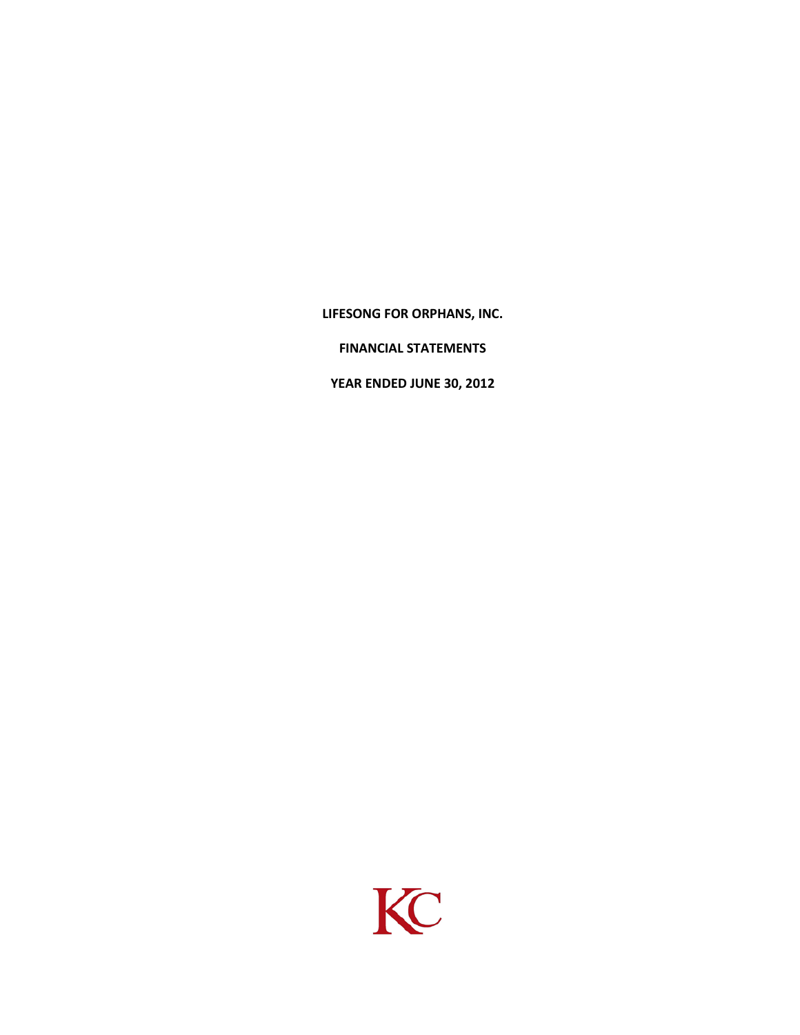**LIFESONG FOR ORPHANS, INC.**

 **FINANCIAL STATEMENTS**

 **YEAR ENDED JUNE 30, 2012** 

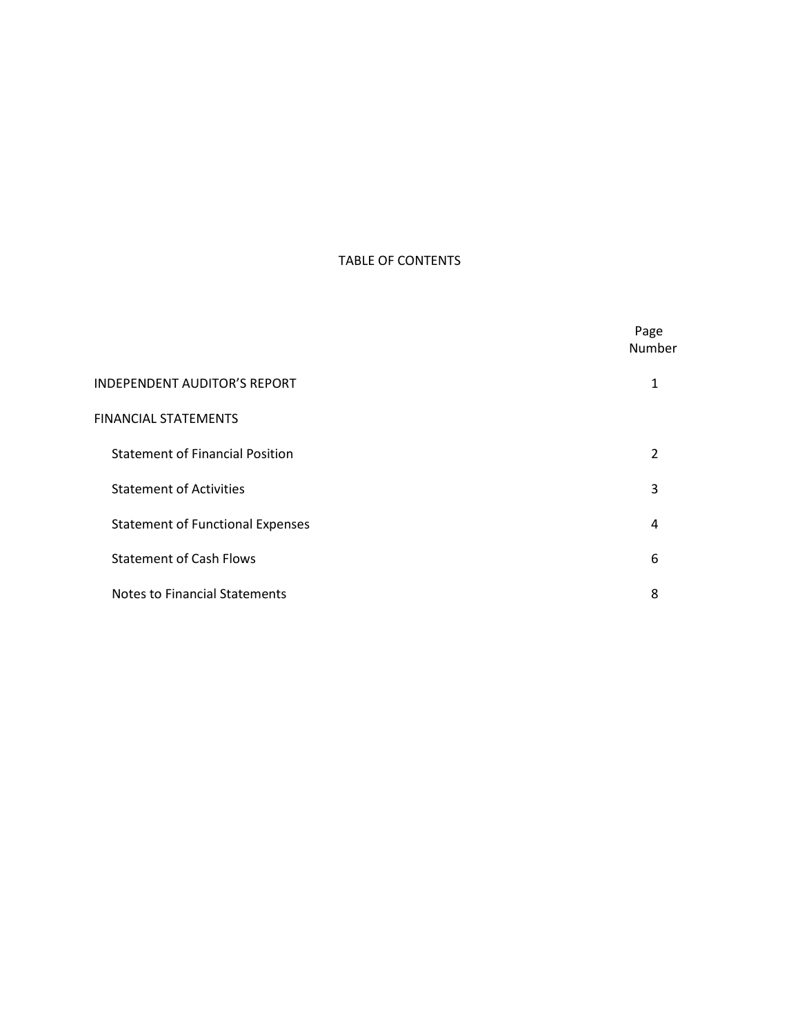# TABLE OF CONTENTS

|                                         | Page<br>Number |
|-----------------------------------------|----------------|
| <b>INDEPENDENT AUDITOR'S REPORT</b>     |                |
| <b>FINANCIAL STATEMENTS</b>             |                |
| <b>Statement of Financial Position</b>  | 2              |
| <b>Statement of Activities</b>          | 3              |
| <b>Statement of Functional Expenses</b> | 4              |
| <b>Statement of Cash Flows</b>          | 6              |
| <b>Notes to Financial Statements</b>    | 8              |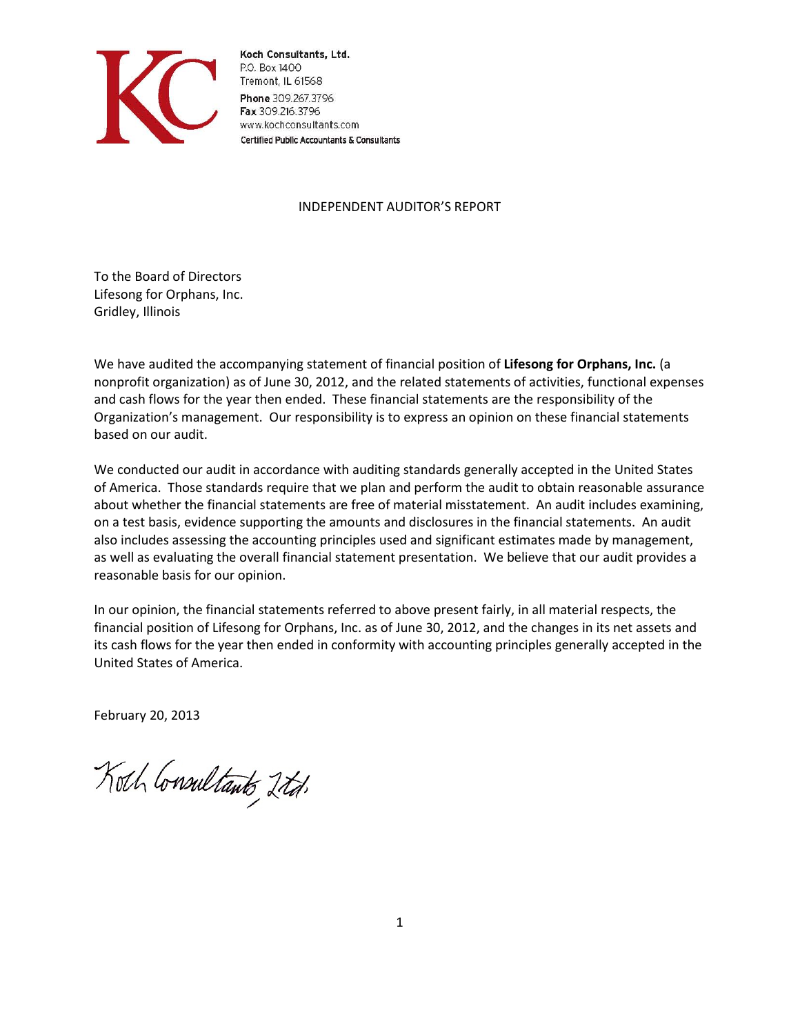

Koch Consultants, Ltd. P.O. Box 1400 Tremont, IL 61568 Phone 309.267.3796 Fax 309.216.3796 www.kochconsultants.com Certified Public Accountants & Consultants

### INDEPENDENT AUDITOR'S REPORT

To the Board of Directors Lifesong for Orphans, Inc. Gridley, Illinois

We have audited the accompanying statement of financial position of **Lifesong for Orphans, Inc.** (a nonprofit organization) as of June 30, 2012, and the related statements of activities, functional expenses and cash flows for the year then ended. These financial statements are the responsibility of the Organization's management. Our responsibility is to express an opinion on these financial statements based on our audit.

We conducted our audit in accordance with auditing standards generally accepted in the United States of America. Those standards require that we plan and perform the audit to obtain reasonable assurance about whether the financial statements are free of material misstatement. An audit includes examining, on a test basis, evidence supporting the amounts and disclosures in the financial statements. An audit also includes assessing the accounting principles used and significant estimates made by management, as well as evaluating the overall financial statement presentation. We believe that our audit provides a reasonable basis for our opinion.

In our opinion, the financial statements referred to above present fairly, in all material respects, the financial position of Lifesong for Orphans, Inc. as of June 30, 2012, and the changes in its net assets and its cash flows for the year then ended in conformity with accounting principles generally accepted in the United States of America.

February 20, 2013

Koth Consultants 2td.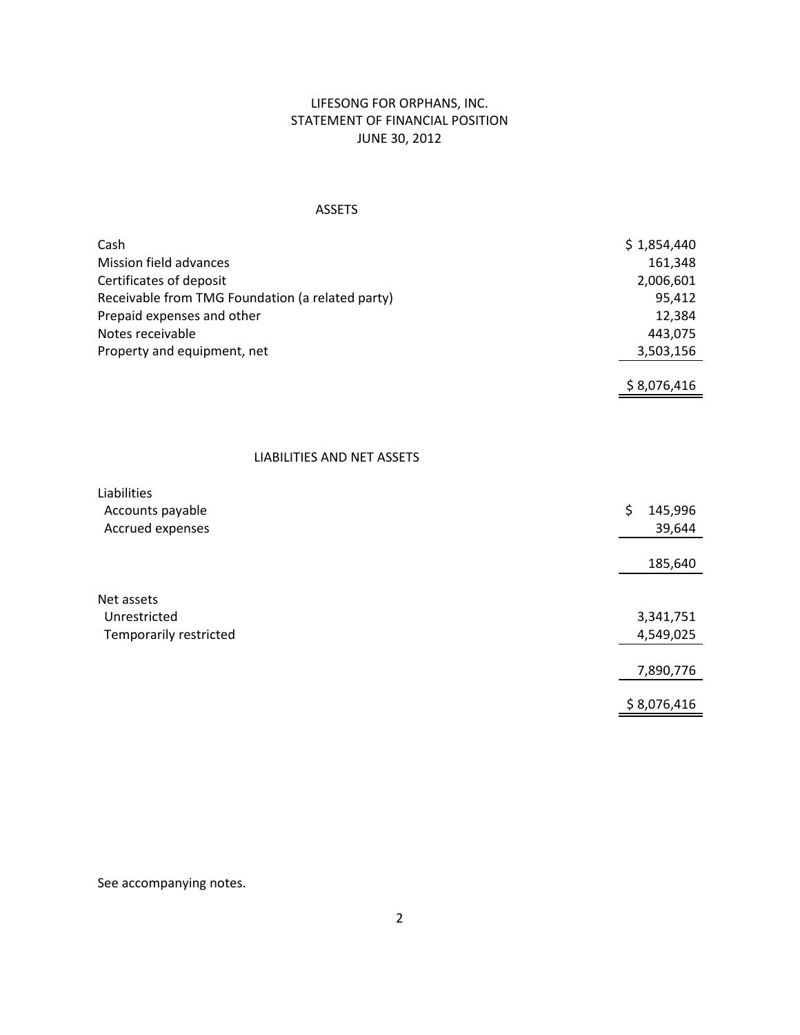# LIFESONG FOR ORPHANS, INC. STATEMENT OF FINANCIAL POSITION JUNE 30, 2012

### ASSETS

| Cash                                             | \$1,854,440 |
|--------------------------------------------------|-------------|
| Mission field advances                           | 161,348     |
| Certificates of deposit                          | 2,006,601   |
| Receivable from TMG Foundation (a related party) | 95,412      |
| Prepaid expenses and other                       | 12,384      |
| Notes receivable                                 | 443,075     |
| Property and equipment, net                      | 3,503,156   |
|                                                  |             |
|                                                  | \$8,076,416 |

## LIABILITIES AND NET ASSETS

| Liabilities<br>Accounts payable<br>Accrued expenses | \$<br>145,996<br>39,644 |
|-----------------------------------------------------|-------------------------|
|                                                     | 185,640                 |
| Net assets                                          |                         |
| Unrestricted                                        | 3,341,751               |
| Temporarily restricted                              | 4,549,025               |
|                                                     | 7,890,776               |
|                                                     | \$8,076,416             |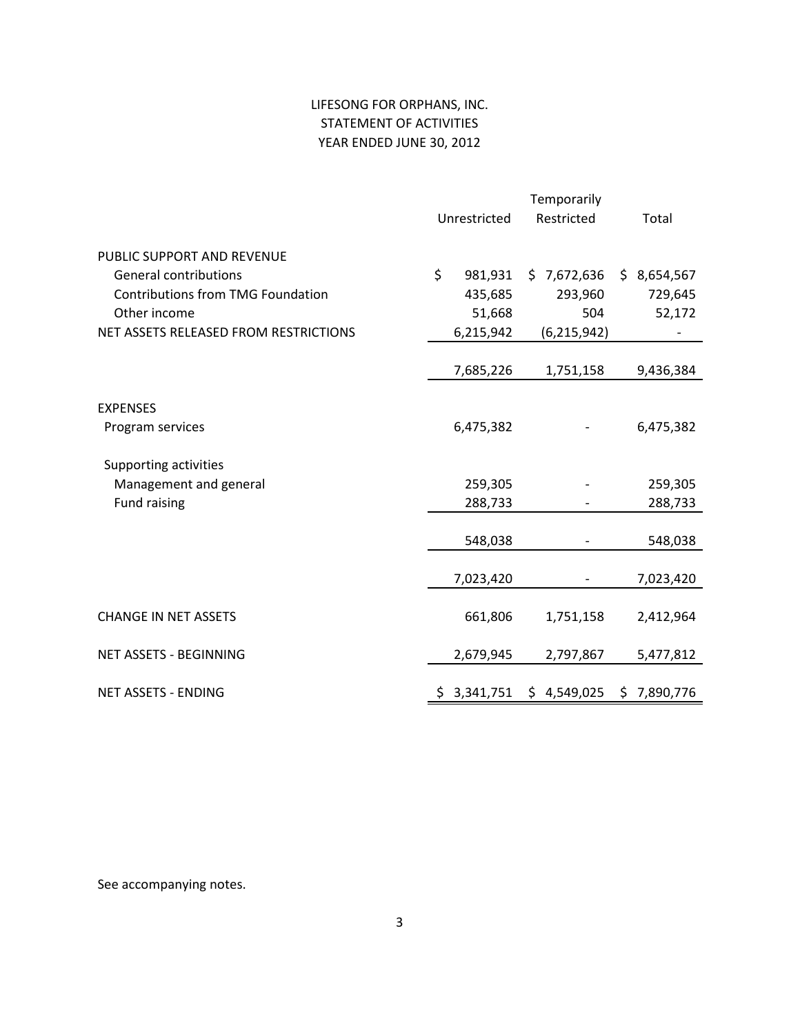# LIFESONG FOR ORPHANS, INC. STATEMENT OF ACTIVITIES YEAR ENDED JUNE 30, 2012

|                                                 | Unrestricted  | Restricted    | Total            |  |
|-------------------------------------------------|---------------|---------------|------------------|--|
| PUBLIC SUPPORT AND REVENUE                      |               |               |                  |  |
| <b>General contributions</b>                    | \$<br>981,931 | \$7,672,636   | \$8,654,567      |  |
| <b>Contributions from TMG Foundation</b>        | 435,685       | 293,960       | 729,645          |  |
| Other income                                    | 51,668        | 504           | 52,172           |  |
| NET ASSETS RELEASED FROM RESTRICTIONS           | 6,215,942     | (6, 215, 942) |                  |  |
|                                                 | 7,685,226     |               | 9,436,384        |  |
|                                                 |               | 1,751,158     |                  |  |
| <b>EXPENSES</b>                                 |               |               |                  |  |
| Program services                                | 6,475,382     |               | 6,475,382        |  |
|                                                 |               |               |                  |  |
| Supporting activities<br>Management and general | 259,305       |               | 259,305          |  |
| Fund raising                                    | 288,733       |               | 288,733          |  |
|                                                 |               |               |                  |  |
|                                                 | 548,038       |               | 548,038          |  |
|                                                 |               |               |                  |  |
|                                                 | 7,023,420     |               | 7,023,420        |  |
| <b>CHANGE IN NET ASSETS</b>                     | 661,806       | 1,751,158     | 2,412,964        |  |
| NET ASSETS - BEGINNING                          | 2,679,945     | 2,797,867     | 5,477,812        |  |
| <b>NET ASSETS - ENDING</b>                      | 3,341,751     | \$4,549,025   | \$.<br>7,890,776 |  |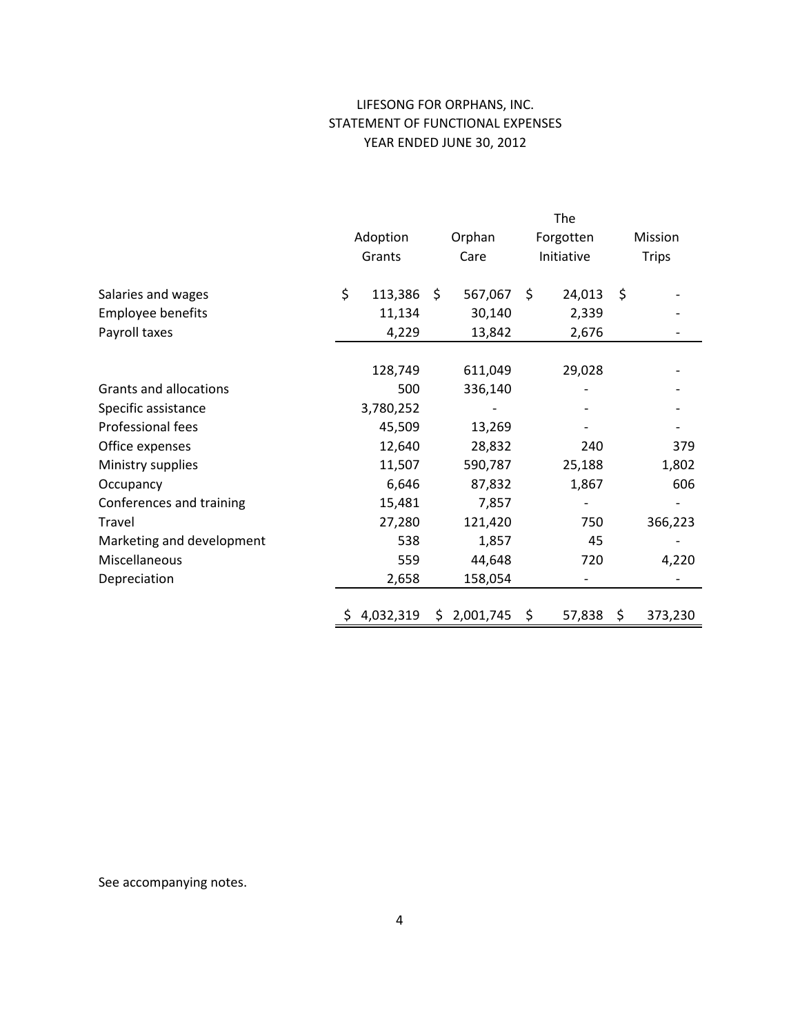# LIFESONG FOR ORPHANS, INC. STATEMENT OF FUNCTIONAL EXPENSES YEAR ENDED JUNE 30, 2012

|                               | The |           |    |           |            |           |              |         |
|-------------------------------|-----|-----------|----|-----------|------------|-----------|--------------|---------|
|                               |     | Adoption  |    | Orphan    |            | Forgotten |              | Mission |
|                               |     | Grants    |    | Care      | Initiative |           | <b>Trips</b> |         |
| Salaries and wages            | \$  | 113,386   | \$ | 567,067   | \$         | 24,013    | \$           |         |
| Employee benefits             |     | 11,134    |    | 30,140    |            | 2,339     |              |         |
| Payroll taxes                 |     | 4,229     |    | 13,842    |            | 2,676     |              |         |
|                               |     | 128,749   |    | 611,049   |            | 29,028    |              |         |
| <b>Grants and allocations</b> |     | 500       |    | 336,140   |            |           |              |         |
| Specific assistance           |     | 3,780,252 |    |           |            |           |              |         |
| Professional fees             |     | 45,509    |    | 13,269    |            |           |              |         |
| Office expenses               |     | 12,640    |    | 28,832    |            | 240       |              | 379     |
| Ministry supplies             |     | 11,507    |    | 590,787   |            | 25,188    |              | 1,802   |
| Occupancy                     |     | 6,646     |    | 87,832    |            | 1,867     |              | 606     |
| Conferences and training      |     | 15,481    |    | 7,857     |            |           |              |         |
| Travel                        |     | 27,280    |    | 121,420   |            | 750       |              | 366,223 |
| Marketing and development     |     | 538       |    | 1,857     |            | 45        |              |         |
| Miscellaneous                 |     | 559       |    | 44,648    |            | 720       |              | 4,220   |
| Depreciation                  |     | 2,658     |    | 158,054   |            |           |              |         |
|                               | \$  | 4,032,319 | S. | 2,001,745 | \$         | 57,838    | \$           | 373,230 |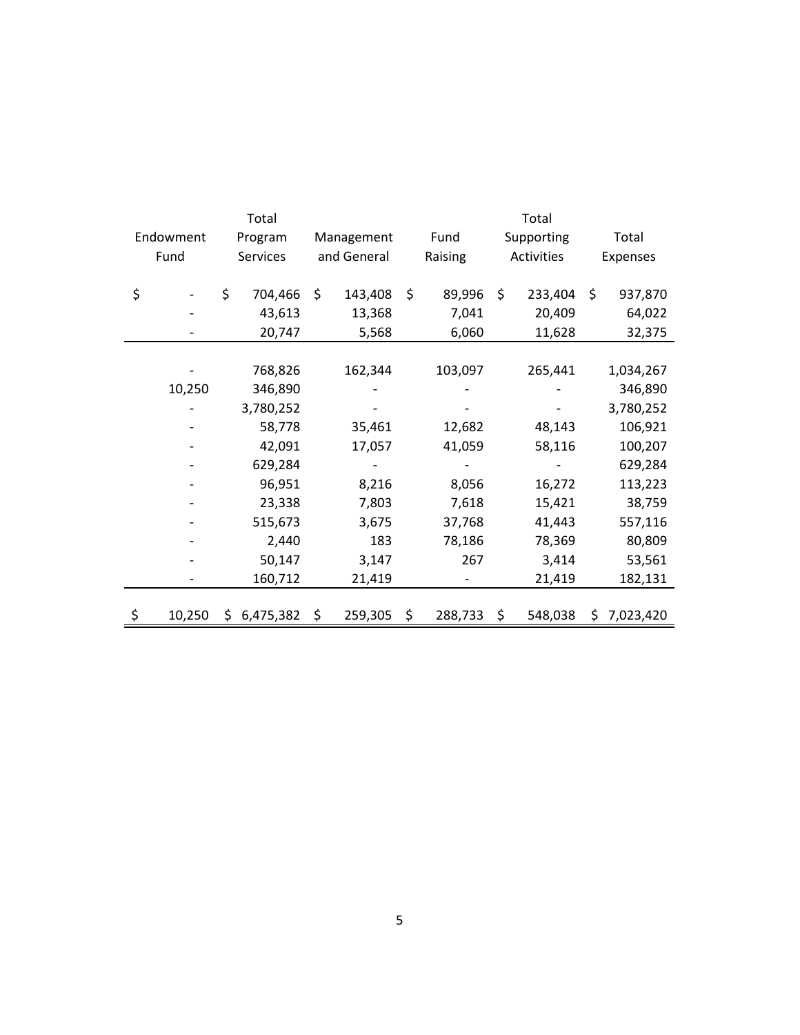|              |     | Total     |               |               |    | Total      |     |           |  |
|--------------|-----|-----------|---------------|---------------|----|------------|-----|-----------|--|
| Endowment    |     | Program   | Management    | Fund          |    | Supporting |     | Total     |  |
| Fund         |     | Services  | and General   | Raising       |    | Activities |     | Expenses  |  |
|              |     |           |               |               |    |            |     |           |  |
| \$           | \$  | 704,466   | \$<br>143,408 | \$<br>89,996  | \$ | 233,404    | \$  | 937,870   |  |
|              |     | 43,613    | 13,368        | 7,041         |    | 20,409     |     | 64,022    |  |
|              |     | 20,747    | 5,568         | 6,060         |    | 11,628     |     | 32,375    |  |
|              |     |           |               |               |    |            |     |           |  |
|              |     | 768,826   | 162,344       | 103,097       |    | 265,441    |     | 1,034,267 |  |
| 10,250       |     | 346,890   |               |               |    |            |     | 346,890   |  |
|              |     | 3,780,252 |               |               |    |            |     | 3,780,252 |  |
|              |     | 58,778    | 35,461        | 12,682        |    | 48,143     |     | 106,921   |  |
|              |     | 42,091    | 17,057        | 41,059        |    | 58,116     |     | 100,207   |  |
|              |     | 629,284   |               |               |    |            |     | 629,284   |  |
|              |     | 96,951    | 8,216         | 8,056         |    | 16,272     |     | 113,223   |  |
|              |     | 23,338    | 7,803         | 7,618         |    | 15,421     |     | 38,759    |  |
|              |     | 515,673   | 3,675         | 37,768        |    | 41,443     |     | 557,116   |  |
|              |     | 2,440     | 183           | 78,186        |    | 78,369     |     | 80,809    |  |
|              |     | 50,147    | 3,147         | 267           |    | 3,414      |     | 53,561    |  |
|              |     | 160,712   | 21,419        |               |    | 21,419     |     | 182,131   |  |
|              |     |           |               |               |    |            |     |           |  |
| \$<br>10,250 | \$. | 6,475,382 | \$<br>259,305 | \$<br>288,733 | \$ | 548,038    | \$. | 7,023,420 |  |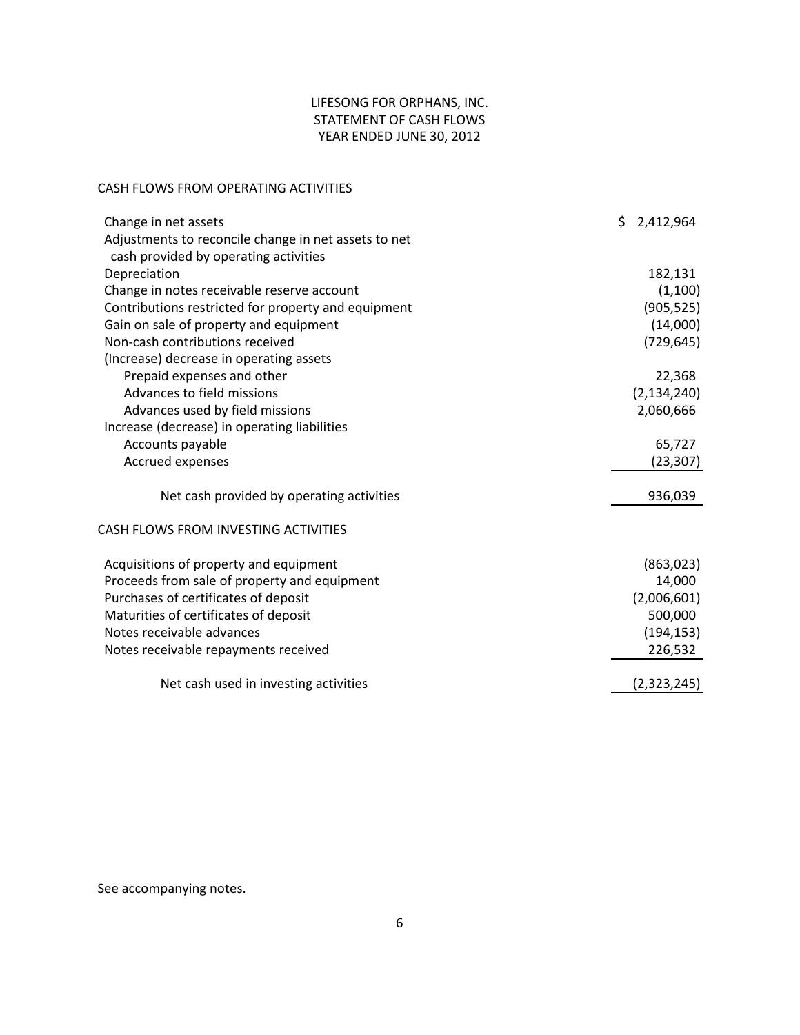# LIFESONG FOR ORPHANS, INC. STATEMENT OF CASH FLOWS YEAR ENDED JUNE 30, 2012

# CASH FLOWS FROM OPERATING ACTIVITIES

| Change in net assets                                 | Ś.<br>2,412,964 |
|------------------------------------------------------|-----------------|
| Adjustments to reconcile change in net assets to net |                 |
| cash provided by operating activities                |                 |
| Depreciation                                         | 182,131         |
| Change in notes receivable reserve account           | (1,100)         |
| Contributions restricted for property and equipment  | (905, 525)      |
| Gain on sale of property and equipment               | (14,000)        |
| Non-cash contributions received                      | (729, 645)      |
| (Increase) decrease in operating assets              |                 |
| Prepaid expenses and other                           | 22,368          |
| Advances to field missions                           | (2, 134, 240)   |
| Advances used by field missions                      | 2,060,666       |
| Increase (decrease) in operating liabilities         |                 |
| Accounts payable                                     | 65,727          |
| Accrued expenses                                     | (23, 307)       |
| Net cash provided by operating activities            | 936,039         |
| CASH FLOWS FROM INVESTING ACTIVITIES                 |                 |
| Acquisitions of property and equipment               | (863, 023)      |
| Proceeds from sale of property and equipment         | 14,000          |
| Purchases of certificates of deposit                 | (2,006,601)     |
| Maturities of certificates of deposit                | 500,000         |
| Notes receivable advances                            | (194, 153)      |
| Notes receivable repayments received                 | 226,532         |
| Net cash used in investing activities                | (2,323,245)     |
|                                                      |                 |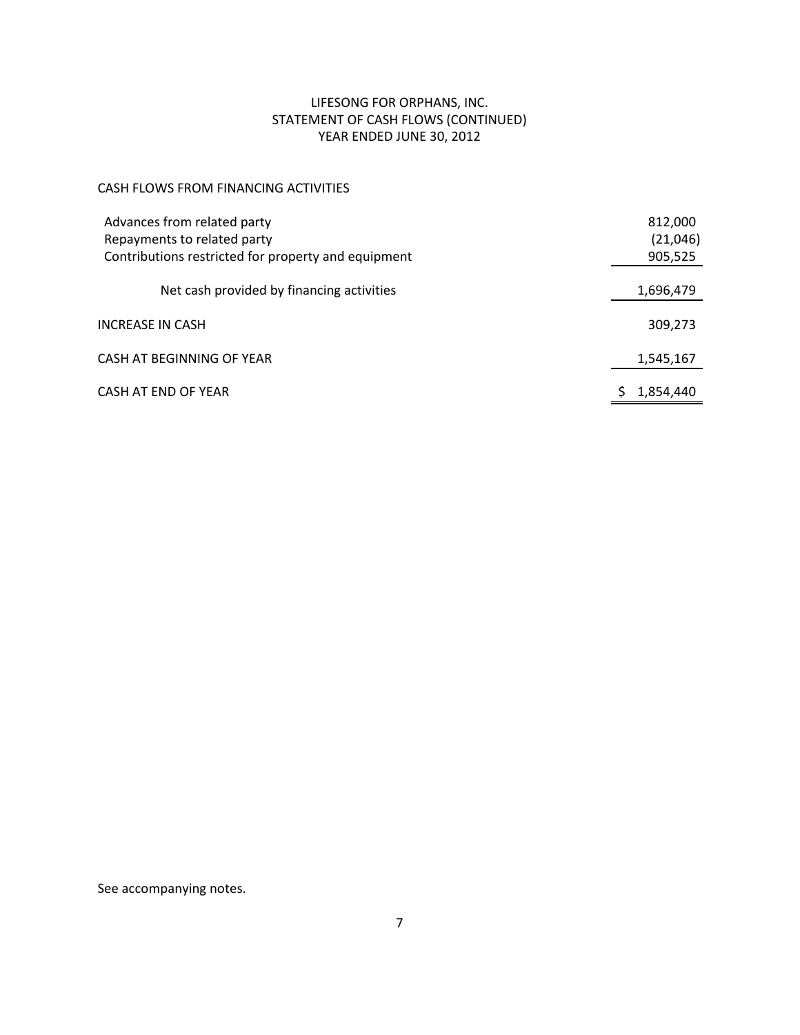# LIFESONG FOR ORPHANS, INC. STATEMENT OF CASH FLOWS (CONTINUED) YEAR ENDED JUNE 30, 2012

# CASH FLOWS FROM FINANCING ACTIVITIES

| Advances from related party<br>Repayments to related party<br>Contributions restricted for property and equipment | 812,000<br>(21,046)<br>905,525 |
|-------------------------------------------------------------------------------------------------------------------|--------------------------------|
| Net cash provided by financing activities                                                                         | 1,696,479                      |
| <b>INCREASE IN CASH</b>                                                                                           | 309,273                        |
| CASH AT BEGINNING OF YEAR                                                                                         | 1,545,167                      |
| CASH AT END OF YEAR                                                                                               | 1,854,440                      |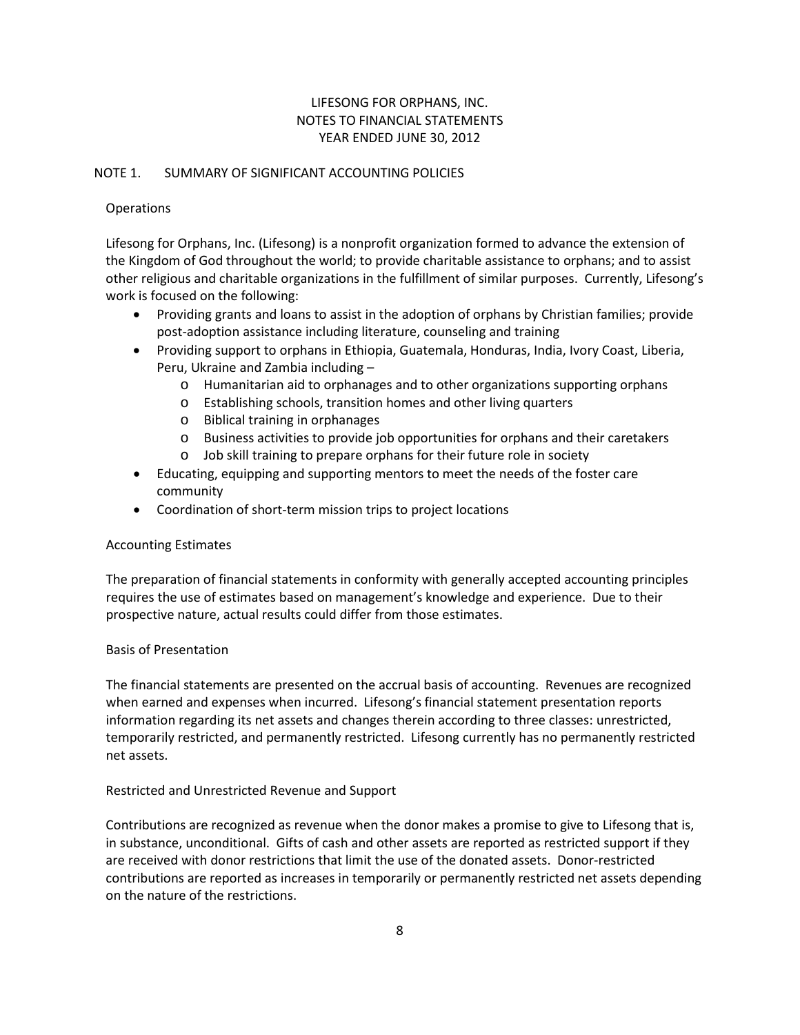# LIFESONG FOR ORPHANS, INC. NOTES TO FINANCIAL STATEMENTS YEAR ENDED JUNE 30, 2012

### NOTE 1. SUMMARY OF SIGNIFICANT ACCOUNTING POLICIES

### **Operations**

Lifesong for Orphans, Inc. (Lifesong) is a nonprofit organization formed to advance the extension of the Kingdom of God throughout the world; to provide charitable assistance to orphans; and to assist other religious and charitable organizations in the fulfillment of similar purposes. Currently, Lifesong's work is focused on the following:

- Providing grants and loans to assist in the adoption of orphans by Christian families; provide post-adoption assistance including literature, counseling and training
- Providing support to orphans in Ethiopia, Guatemala, Honduras, India, Ivory Coast, Liberia, Peru, Ukraine and Zambia including –
	- o Humanitarian aid to orphanages and to other organizations supporting orphans
	- o Establishing schools, transition homes and other living quarters
	- o Biblical training in orphanages
	- o Business activities to provide job opportunities for orphans and their caretakers
	- o Job skill training to prepare orphans for their future role in society
- Educating, equipping and supporting mentors to meet the needs of the foster care community
- Coordination of short-term mission trips to project locations

### Accounting Estimates

The preparation of financial statements in conformity with generally accepted accounting principles requires the use of estimates based on management's knowledge and experience. Due to their prospective nature, actual results could differ from those estimates.

## Basis of Presentation

The financial statements are presented on the accrual basis of accounting. Revenues are recognized when earned and expenses when incurred. Lifesong's financial statement presentation reports information regarding its net assets and changes therein according to three classes: unrestricted, temporarily restricted, and permanently restricted. Lifesong currently has no permanently restricted net assets.

## Restricted and Unrestricted Revenue and Support

Contributions are recognized as revenue when the donor makes a promise to give to Lifesong that is, in substance, unconditional. Gifts of cash and other assets are reported as restricted support if they are received with donor restrictions that limit the use of the donated assets. Donor-restricted contributions are reported as increases in temporarily or permanently restricted net assets depending on the nature of the restrictions.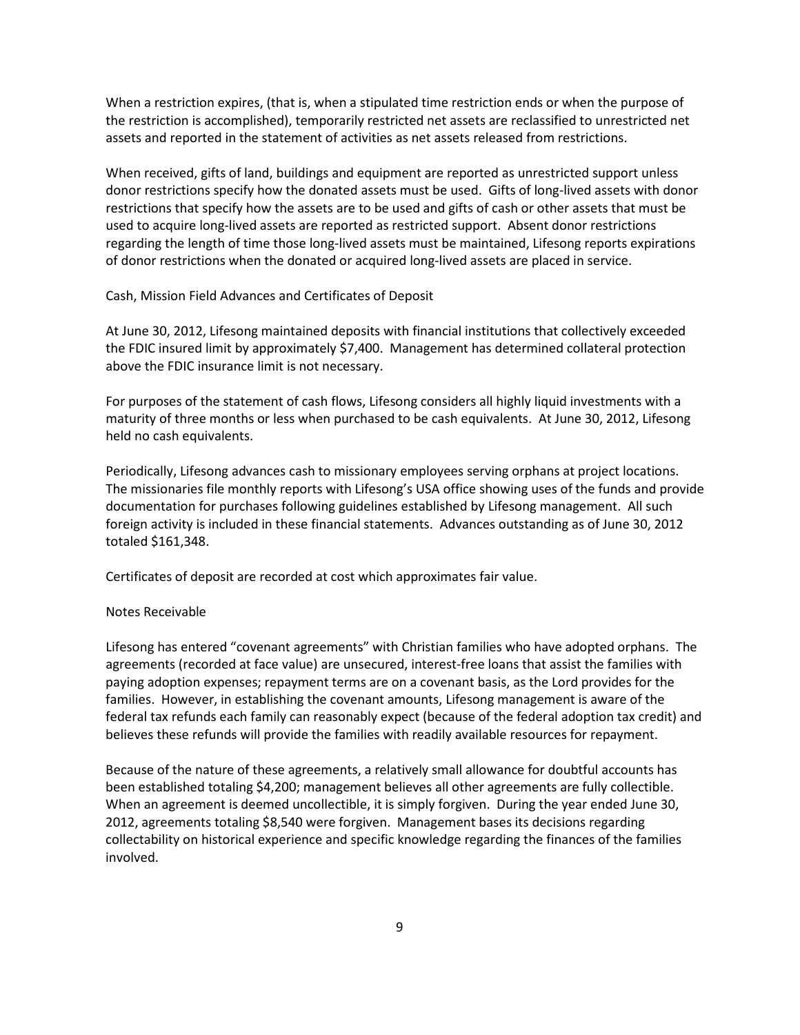When a restriction expires, (that is, when a stipulated time restriction ends or when the purpose of the restriction is accomplished), temporarily restricted net assets are reclassified to unrestricted net assets and reported in the statement of activities as net assets released from restrictions.

When received, gifts of land, buildings and equipment are reported as unrestricted support unless donor restrictions specify how the donated assets must be used. Gifts of long-lived assets with donor restrictions that specify how the assets are to be used and gifts of cash or other assets that must be used to acquire long-lived assets are reported as restricted support. Absent donor restrictions regarding the length of time those long-lived assets must be maintained, Lifesong reports expirations of donor restrictions when the donated or acquired long-lived assets are placed in service.

#### Cash, Mission Field Advances and Certificates of Deposit

At June 30, 2012, Lifesong maintained deposits with financial institutions that collectively exceeded the FDIC insured limit by approximately \$7,400. Management has determined collateral protection above the FDIC insurance limit is not necessary.

For purposes of the statement of cash flows, Lifesong considers all highly liquid investments with a maturity of three months or less when purchased to be cash equivalents. At June 30, 2012, Lifesong held no cash equivalents.

Periodically, Lifesong advances cash to missionary employees serving orphans at project locations. The missionaries file monthly reports with Lifesong's USA office showing uses of the funds and provide documentation for purchases following guidelines established by Lifesong management. All such foreign activity is included in these financial statements. Advances outstanding as of June 30, 2012 totaled \$161,348.

Certificates of deposit are recorded at cost which approximates fair value.

#### Notes Receivable

Lifesong has entered "covenant agreements" with Christian families who have adopted orphans. The agreements (recorded at face value) are unsecured, interest-free loans that assist the families with paying adoption expenses; repayment terms are on a covenant basis, as the Lord provides for the families. However, in establishing the covenant amounts, Lifesong management is aware of the federal tax refunds each family can reasonably expect (because of the federal adoption tax credit) and believes these refunds will provide the families with readily available resources for repayment.

Because of the nature of these agreements, a relatively small allowance for doubtful accounts has been established totaling \$4,200; management believes all other agreements are fully collectible. When an agreement is deemed uncollectible, it is simply forgiven. During the year ended June 30, 2012, agreements totaling \$8,540 were forgiven. Management bases its decisions regarding collectability on historical experience and specific knowledge regarding the finances of the families involved.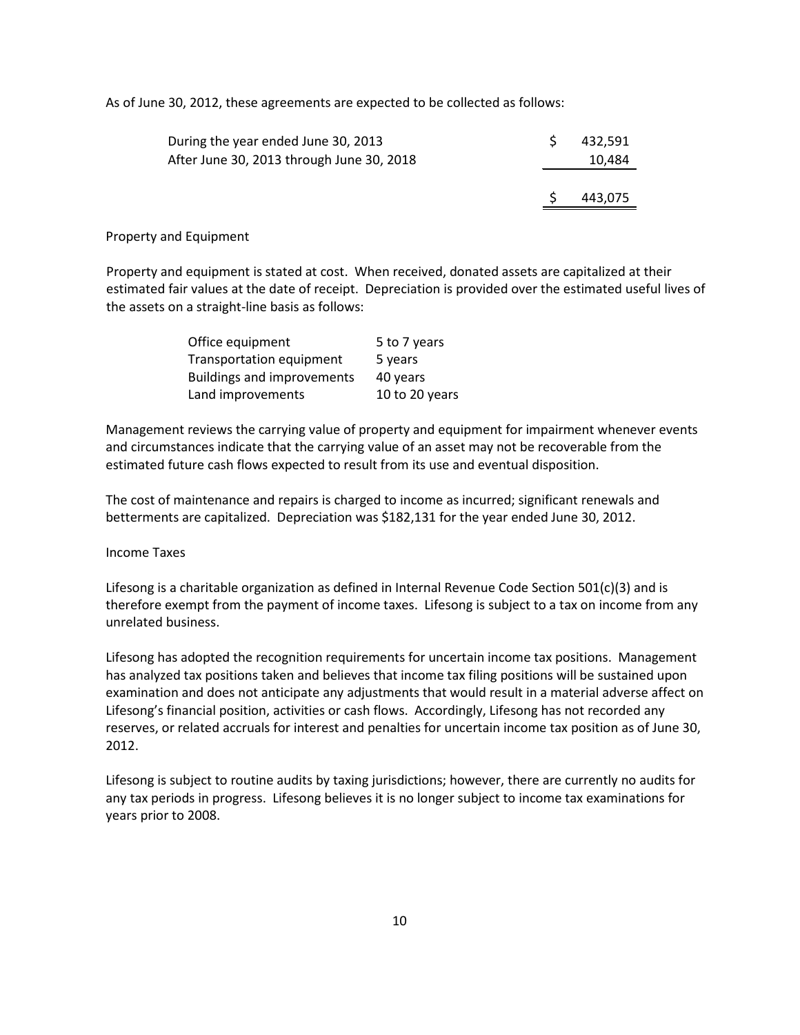As of June 30, 2012, these agreements are expected to be collected as follows:

| During the year ended June 30, 2013       | 432.591 |
|-------------------------------------------|---------|
| After June 30, 2013 through June 30, 2018 | 10,484  |
|                                           |         |
|                                           | 443,075 |
|                                           |         |

#### Property and Equipment

Property and equipment is stated at cost. When received, donated assets are capitalized at their estimated fair values at the date of receipt. Depreciation is provided over the estimated useful lives of the assets on a straight-line basis as follows:

| Office equipment                  | 5 to 7 years   |
|-----------------------------------|----------------|
| Transportation equipment          | 5 years        |
| <b>Buildings and improvements</b> | 40 years       |
| Land improvements                 | 10 to 20 years |

Management reviews the carrying value of property and equipment for impairment whenever events and circumstances indicate that the carrying value of an asset may not be recoverable from the estimated future cash flows expected to result from its use and eventual disposition.

The cost of maintenance and repairs is charged to income as incurred; significant renewals and betterments are capitalized. Depreciation was \$182,131 for the year ended June 30, 2012.

### Income Taxes

Lifesong is a charitable organization as defined in Internal Revenue Code Section 501(c)(3) and is therefore exempt from the payment of income taxes. Lifesong is subject to a tax on income from any unrelated business.

Lifesong has adopted the recognition requirements for uncertain income tax positions. Management has analyzed tax positions taken and believes that income tax filing positions will be sustained upon examination and does not anticipate any adjustments that would result in a material adverse affect on Lifesong's financial position, activities or cash flows. Accordingly, Lifesong has not recorded any reserves, or related accruals for interest and penalties for uncertain income tax position as of June 30, 2012.

Lifesong is subject to routine audits by taxing jurisdictions; however, there are currently no audits for any tax periods in progress. Lifesong believes it is no longer subject to income tax examinations for years prior to 2008.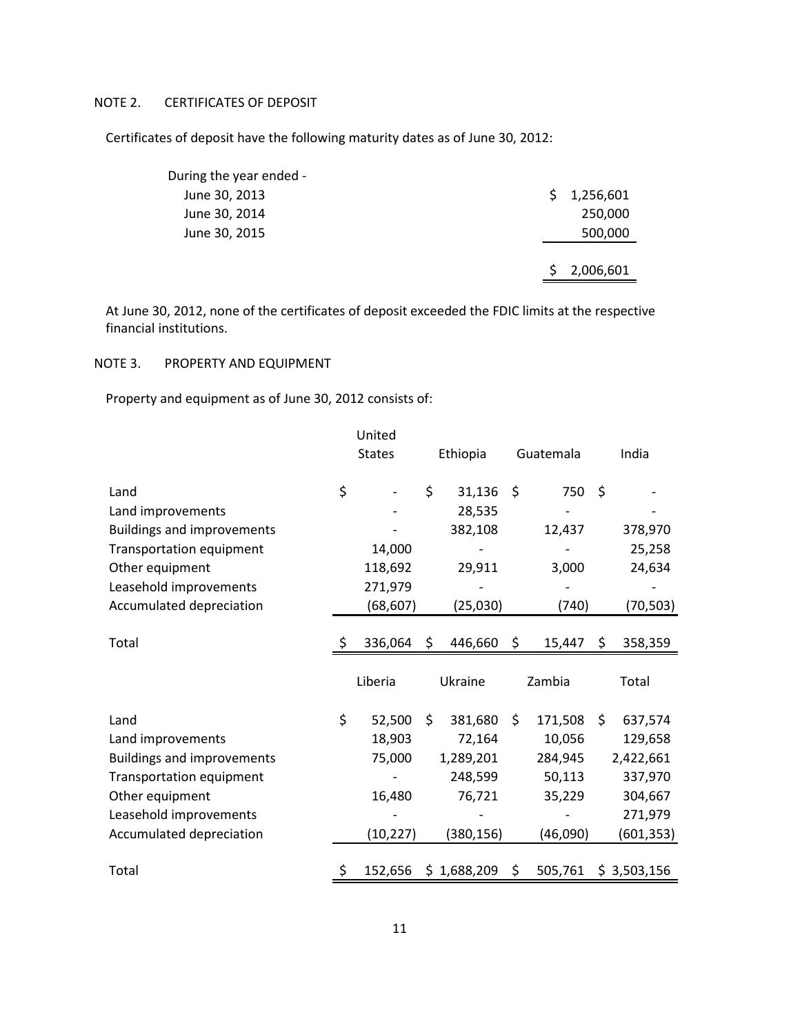# NOTE 2. CERTIFICATES OF DEPOSIT

Certificates of deposit have the following maturity dates as of June 30, 2012:

| June 30, 2013<br>1,256,601<br>S<br>June 30, 2014<br>250,000<br>June 30, 2015<br>500,000<br>2,006,601 | During the year ended - |  |
|------------------------------------------------------------------------------------------------------|-------------------------|--|
|                                                                                                      |                         |  |
|                                                                                                      |                         |  |
|                                                                                                      |                         |  |
|                                                                                                      |                         |  |
|                                                                                                      |                         |  |

At June 30, 2012, none of the certificates of deposit exceeded the FDIC limits at the respective financial institutions.

### NOTE 3. PROPERTY AND EQUIPMENT

Property and equipment as of June 30, 2012 consists of:

|                                   | United        |               |     |           |     |             |
|-----------------------------------|---------------|---------------|-----|-----------|-----|-------------|
|                                   | <b>States</b> | Ethiopia      |     | Guatemala |     | India       |
| Land                              | \$            | \$<br>31,136  | \$  | 750       | \$  |             |
| Land improvements                 |               | 28,535        |     |           |     |             |
| <b>Buildings and improvements</b> |               | 382,108       |     | 12,437    |     | 378,970     |
| Transportation equipment          | 14,000        |               |     |           |     | 25,258      |
| Other equipment                   | 118,692       | 29,911        |     | 3,000     |     | 24,634      |
| Leasehold improvements            | 271,979       |               |     |           |     |             |
| Accumulated depreciation          | (68, 607)     | (25,030)      |     | (740)     |     | (70,503)    |
|                                   |               |               |     |           |     |             |
| Total                             | \$<br>336,064 | \$<br>446,660 | \$  | 15,447    | \$  | 358,359     |
|                                   | Liberia       | Ukraine       |     | Zambia    |     | Total       |
| Land                              | \$<br>52,500  | \$<br>381,680 | \$  | 171,508   | \$. | 637,574     |
| Land improvements                 | 18,903        | 72,164        |     | 10,056    |     | 129,658     |
| <b>Buildings and improvements</b> | 75,000        | 1,289,201     |     | 284,945   |     | 2,422,661   |
| Transportation equipment          |               | 248,599       |     | 50,113    |     | 337,970     |
| Other equipment                   | 16,480        | 76,721        |     | 35,229    |     | 304,667     |
| Leasehold improvements            |               |               |     |           |     | 271,979     |
| Accumulated depreciation          | (10, 227)     | (380, 156)    |     | (46,090)  |     | (601,353)   |
| Total                             | \$<br>152,656 | \$1,688,209   | \$. | 505,761   |     | \$3,503,156 |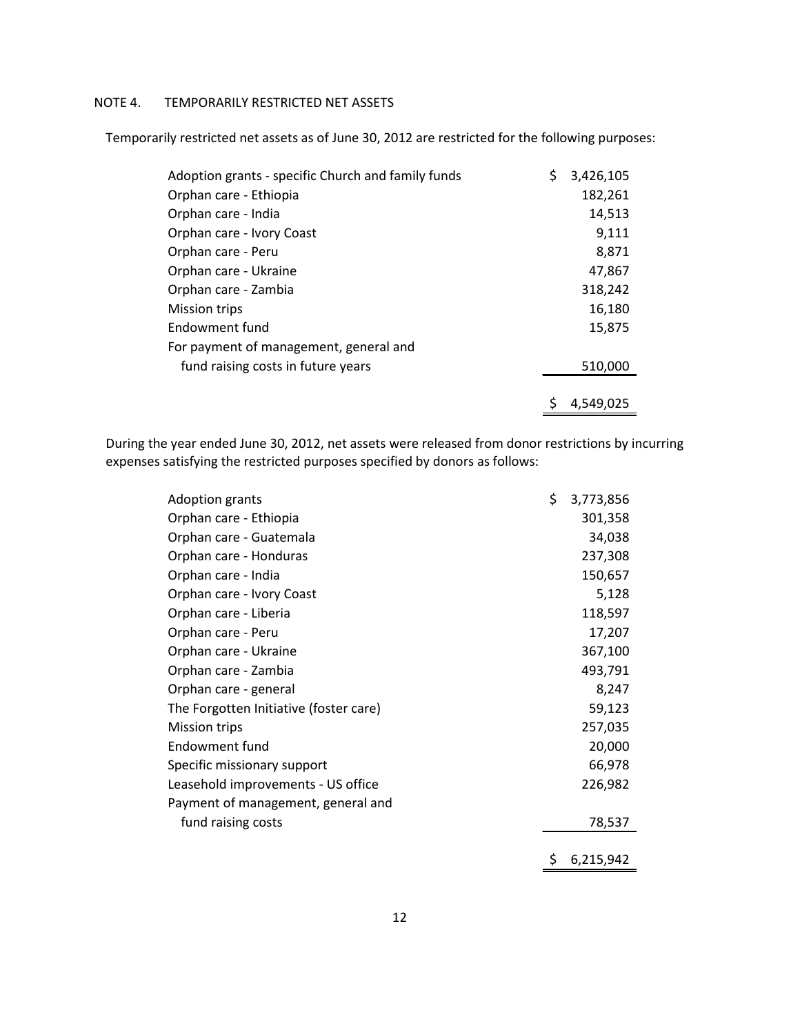# NOTE 4. TEMPORARILY RESTRICTED NET ASSETS

Temporarily restricted net assets as of June 30, 2012 are restricted for the following purposes:

| Adoption grants - specific Church and family funds | \$<br>3,426,105 |
|----------------------------------------------------|-----------------|
| Orphan care - Ethiopia                             | 182,261         |
| Orphan care - India                                | 14,513          |
| Orphan care - Ivory Coast                          | 9,111           |
| Orphan care - Peru                                 | 8,871           |
| Orphan care - Ukraine                              | 47,867          |
| Orphan care - Zambia                               | 318,242         |
| Mission trips                                      | 16,180          |
| Endowment fund                                     | 15,875          |
| For payment of management, general and             |                 |
| fund raising costs in future years                 | 510,000         |
|                                                    |                 |
|                                                    | 4.549.025       |

During the year ended June 30, 2012, net assets were released from donor restrictions by incurring expenses satisfying the restricted purposes specified by donors as follows:

| <b>Adoption grants</b>                 | \$<br>3,773,856 |
|----------------------------------------|-----------------|
| Orphan care - Ethiopia                 | 301,358         |
| Orphan care - Guatemala                | 34,038          |
| Orphan care - Honduras                 | 237,308         |
| Orphan care - India                    | 150,657         |
| Orphan care - Ivory Coast              | 5,128           |
| Orphan care - Liberia                  | 118,597         |
| Orphan care - Peru                     | 17,207          |
| Orphan care - Ukraine                  | 367,100         |
| Orphan care - Zambia                   | 493,791         |
| Orphan care - general                  | 8,247           |
| The Forgotten Initiative (foster care) | 59,123          |
| Mission trips                          | 257,035         |
| Endowment fund                         | 20,000          |
| Specific missionary support            | 66,978          |
| Leasehold improvements - US office     | 226,982         |
| Payment of management, general and     |                 |
| fund raising costs                     | 78,537          |
|                                        |                 |
|                                        | 6,215,942       |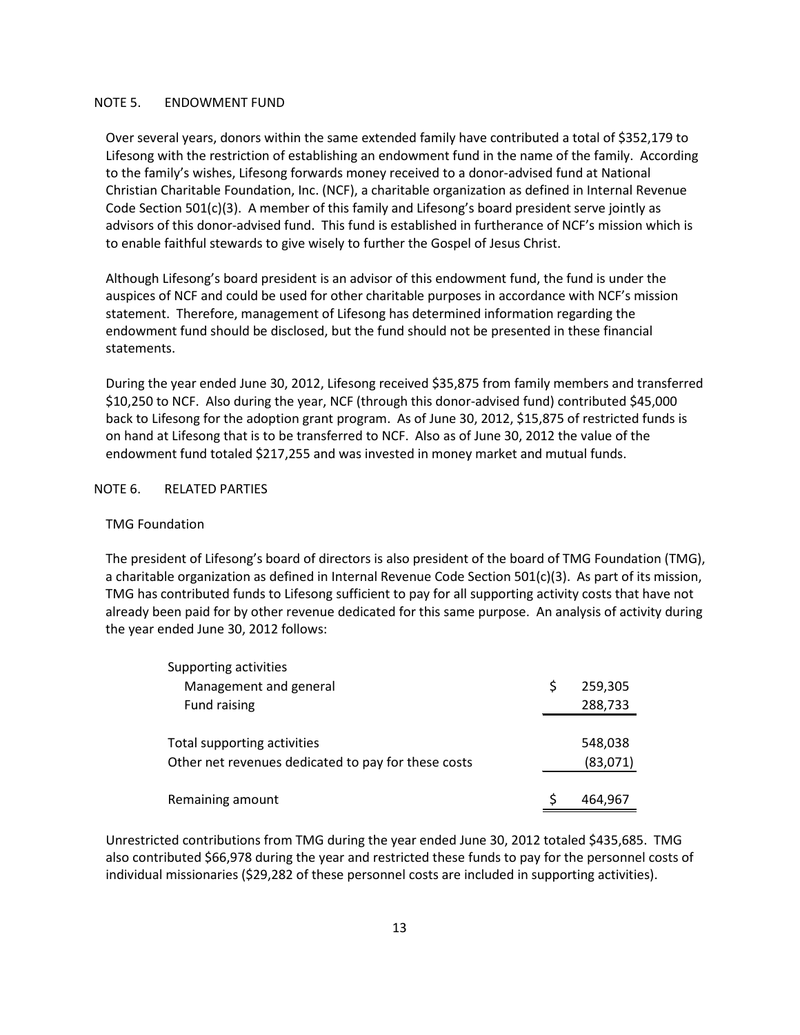#### NOTE 5. ENDOWMENT FUND

Over several years, donors within the same extended family have contributed a total of \$352,179 to Lifesong with the restriction of establishing an endowment fund in the name of the family. According to the family's wishes, Lifesong forwards money received to a donor-advised fund at National Christian Charitable Foundation, Inc. (NCF), a charitable organization as defined in Internal Revenue Code Section 501(c)(3). A member of this family and Lifesong's board president serve jointly as advisors of this donor-advised fund. This fund is established in furtherance of NCF's mission which is to enable faithful stewards to give wisely to further the Gospel of Jesus Christ.

Although Lifesong's board president is an advisor of this endowment fund, the fund is under the auspices of NCF and could be used for other charitable purposes in accordance with NCF's mission statement. Therefore, management of Lifesong has determined information regarding the endowment fund should be disclosed, but the fund should not be presented in these financial statements.

During the year ended June 30, 2012, Lifesong received \$35,875 from family members and transferred \$10,250 to NCF. Also during the year, NCF (through this donor-advised fund) contributed \$45,000 back to Lifesong for the adoption grant program. As of June 30, 2012, \$15,875 of restricted funds is on hand at Lifesong that is to be transferred to NCF. Also as of June 30, 2012 the value of the endowment fund totaled \$217,255 and was invested in money market and mutual funds.

#### NOTE 6. RELATED PARTIES

#### TMG Foundation

The president of Lifesong's board of directors is also president of the board of TMG Foundation (TMG), a charitable organization as defined in Internal Revenue Code Section 501(c)(3). As part of its mission, TMG has contributed funds to Lifesong sufficient to pay for all supporting activity costs that have not already been paid for by other revenue dedicated for this same purpose. An analysis of activity during the year ended June 30, 2012 follows:

| Supporting activities                               |   |          |
|-----------------------------------------------------|---|----------|
| Management and general                              | S | 259,305  |
| Fund raising                                        |   | 288,733  |
|                                                     |   |          |
| Total supporting activities                         |   | 548,038  |
| Other net revenues dedicated to pay for these costs |   | (83,071) |
|                                                     |   |          |
| Remaining amount                                    |   | 464.967  |

Unrestricted contributions from TMG during the year ended June 30, 2012 totaled \$435,685. TMG also contributed \$66,978 during the year and restricted these funds to pay for the personnel costs of individual missionaries (\$29,282 of these personnel costs are included in supporting activities).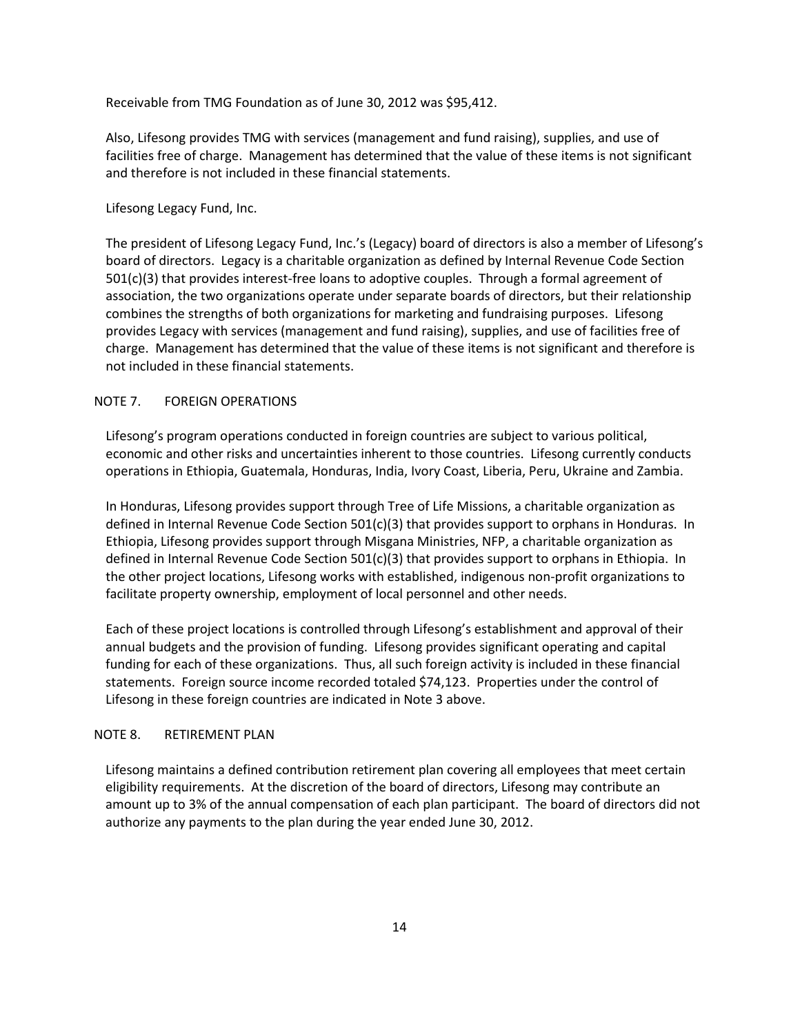Receivable from TMG Foundation as of June 30, 2012 was \$95,412.

Also, Lifesong provides TMG with services (management and fund raising), supplies, and use of facilities free of charge. Management has determined that the value of these items is not significant and therefore is not included in these financial statements.

Lifesong Legacy Fund, Inc.

The president of Lifesong Legacy Fund, Inc.'s (Legacy) board of directors is also a member of Lifesong's board of directors. Legacy is a charitable organization as defined by Internal Revenue Code Section 501(c)(3) that provides interest-free loans to adoptive couples. Through a formal agreement of association, the two organizations operate under separate boards of directors, but their relationship combines the strengths of both organizations for marketing and fundraising purposes. Lifesong provides Legacy with services (management and fund raising), supplies, and use of facilities free of charge. Management has determined that the value of these items is not significant and therefore is not included in these financial statements.

### NOTE 7. FOREIGN OPERATIONS

Lifesong's program operations conducted in foreign countries are subject to various political, economic and other risks and uncertainties inherent to those countries. Lifesong currently conducts operations in Ethiopia, Guatemala, Honduras, India, Ivory Coast, Liberia, Peru, Ukraine and Zambia.

In Honduras, Lifesong provides support through Tree of Life Missions, a charitable organization as defined in Internal Revenue Code Section 501(c)(3) that provides support to orphans in Honduras. In Ethiopia, Lifesong provides support through Misgana Ministries, NFP, a charitable organization as defined in Internal Revenue Code Section 501(c)(3) that provides support to orphans in Ethiopia. In the other project locations, Lifesong works with established, indigenous non-profit organizations to facilitate property ownership, employment of local personnel and other needs.

Each of these project locations is controlled through Lifesong's establishment and approval of their annual budgets and the provision of funding. Lifesong provides significant operating and capital funding for each of these organizations. Thus, all such foreign activity is included in these financial statements. Foreign source income recorded totaled \$74,123. Properties under the control of Lifesong in these foreign countries are indicated in Note 3 above.

## NOTE 8. RETIREMENT PLAN

Lifesong maintains a defined contribution retirement plan covering all employees that meet certain eligibility requirements. At the discretion of the board of directors, Lifesong may contribute an amount up to 3% of the annual compensation of each plan participant. The board of directors did not authorize any payments to the plan during the year ended June 30, 2012.